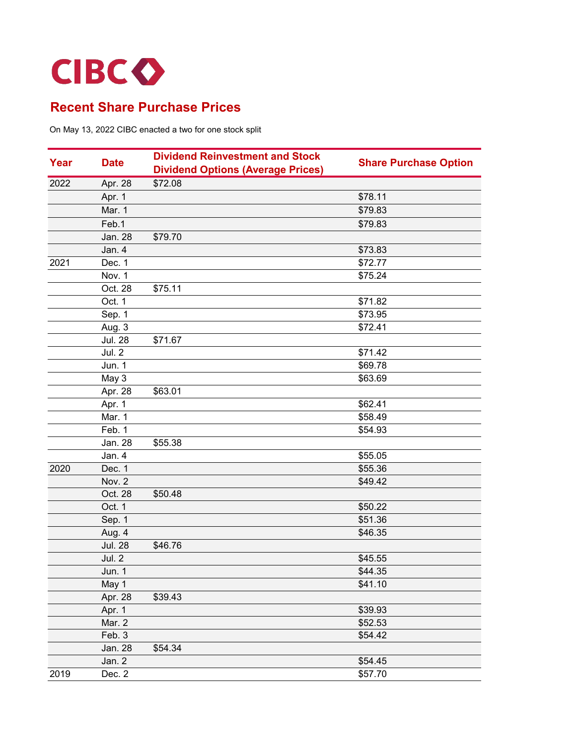

| Year | <b>Date</b>    | <b>Dividend Reinvestment and Stock</b><br><b>Dividend Options (Average Prices)</b> | <b>Share Purchase Option</b> |
|------|----------------|------------------------------------------------------------------------------------|------------------------------|
| 2022 | Apr. 28        | \$72.08                                                                            |                              |
|      | Apr. 1         |                                                                                    | \$78.11                      |
|      | Mar. 1         |                                                                                    | \$79.83                      |
|      | Feb.1          |                                                                                    | \$79.83                      |
|      | Jan. 28        | \$79.70                                                                            |                              |
|      | Jan. 4         |                                                                                    | \$73.83                      |
| 2021 | Dec. 1         |                                                                                    | \$72.77                      |
|      | Nov. 1         |                                                                                    | \$75.24                      |
|      | Oct. 28        | \$75.11                                                                            |                              |
|      | Oct. 1         |                                                                                    | \$71.82                      |
|      | Sep. 1         |                                                                                    | \$73.95                      |
|      | Aug. 3         |                                                                                    | \$72.41                      |
|      | <b>Jul. 28</b> | \$71.67                                                                            |                              |
|      | Jul. 2         |                                                                                    | \$71.42                      |
|      | Jun. 1         |                                                                                    | \$69.78                      |
|      | May 3          |                                                                                    | \$63.69                      |
|      | Apr. 28        | \$63.01                                                                            |                              |
|      | Apr. 1         |                                                                                    | \$62.41                      |
|      | Mar. 1         |                                                                                    | \$58.49                      |
|      | Feb. 1         |                                                                                    | \$54.93                      |
|      | Jan. 28        | \$55.38                                                                            |                              |
|      | Jan. 4         |                                                                                    | \$55.05                      |
| 2020 | Dec. 1         |                                                                                    | \$55.36                      |
|      | Nov. 2         |                                                                                    | \$49.42                      |
|      | Oct. 28        | \$50.48                                                                            |                              |
|      | Oct. 1         |                                                                                    | \$50.22                      |
|      | Sep. 1         |                                                                                    | \$51.36                      |
|      | Aug. 4         |                                                                                    | \$46.35                      |
|      | <b>Jul. 28</b> | \$46.76                                                                            |                              |
|      | Jul. 2         |                                                                                    | \$45.55                      |
|      | <b>Jun. 1</b>  |                                                                                    | \$44.35                      |
|      | May 1          |                                                                                    | \$41.10                      |
|      | Apr. 28        | \$39.43                                                                            |                              |
|      | Apr. 1         |                                                                                    | \$39.93                      |
|      | Mar. 2         |                                                                                    | \$52.53                      |
|      | Feb. 3         |                                                                                    | \$54.42                      |
|      | Jan. 28        | \$54.34                                                                            |                              |
|      | Jan. 2         |                                                                                    | \$54.45                      |
| 2019 | Dec. 2         |                                                                                    | \$57.70                      |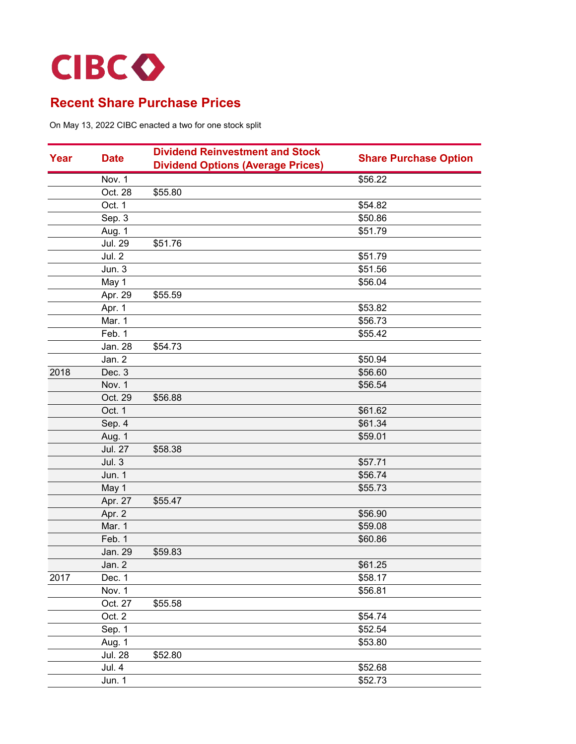

|      |                | <b>Dividend Reinvestment and Stock</b>   |                              |
|------|----------------|------------------------------------------|------------------------------|
| Year | <b>Date</b>    | <b>Dividend Options (Average Prices)</b> | <b>Share Purchase Option</b> |
|      | Nov. 1         |                                          | \$56.22                      |
|      | Oct. 28        | \$55.80                                  |                              |
|      | Oct. 1         |                                          | \$54.82                      |
|      | Sep. 3         |                                          | \$50.86                      |
|      | Aug. 1         |                                          | \$51.79                      |
|      | <b>Jul. 29</b> | \$51.76                                  |                              |
|      | Jul. 2         |                                          | \$51.79                      |
|      | Jun. 3         |                                          | \$51.56                      |
|      | May 1          |                                          | \$56.04                      |
|      | Apr. 29        | \$55.59                                  |                              |
|      | Apr. 1         |                                          | \$53.82                      |
|      | Mar. 1         |                                          | \$56.73                      |
|      | Feb. 1         |                                          | \$55.42                      |
|      | Jan. 28        | \$54.73                                  |                              |
|      | Jan. 2         |                                          | \$50.94                      |
| 2018 | Dec. 3         |                                          | \$56.60                      |
|      | Nov. 1         |                                          | \$56.54                      |
|      | Oct. 29        | \$56.88                                  |                              |
|      | Oct. 1         |                                          | \$61.62                      |
|      | Sep. 4         |                                          | \$61.34                      |
|      | Aug. 1         |                                          | \$59.01                      |
|      | <b>Jul. 27</b> | \$58.38                                  |                              |
|      | Jul.3          |                                          | \$57.71                      |
|      | <b>Jun. 1</b>  |                                          | \$56.74                      |
|      | May 1          |                                          | \$55.73                      |
|      | Apr. 27        | \$55.47                                  |                              |
|      | Apr. 2         |                                          | \$56.90                      |
|      | Mar. 1         |                                          | \$59.08                      |
|      | Feb. 1         |                                          | \$60.86                      |
|      | Jan. 29        | \$59.83                                  |                              |
|      | Jan. 2         |                                          | \$61.25                      |
| 2017 | Dec. 1         |                                          | \$58.17                      |
|      | Nov. 1         |                                          | \$56.81                      |
|      | Oct. 27        | \$55.58                                  |                              |
|      | Oct. 2         |                                          | \$54.74                      |
|      | Sep. 1         |                                          | \$52.54                      |
|      | Aug. 1         |                                          | \$53.80                      |
|      | <b>Jul. 28</b> | \$52.80                                  |                              |
|      | <b>Jul. 4</b>  |                                          | \$52.68                      |
|      | Jun. 1         |                                          | \$52.73                      |
|      |                |                                          |                              |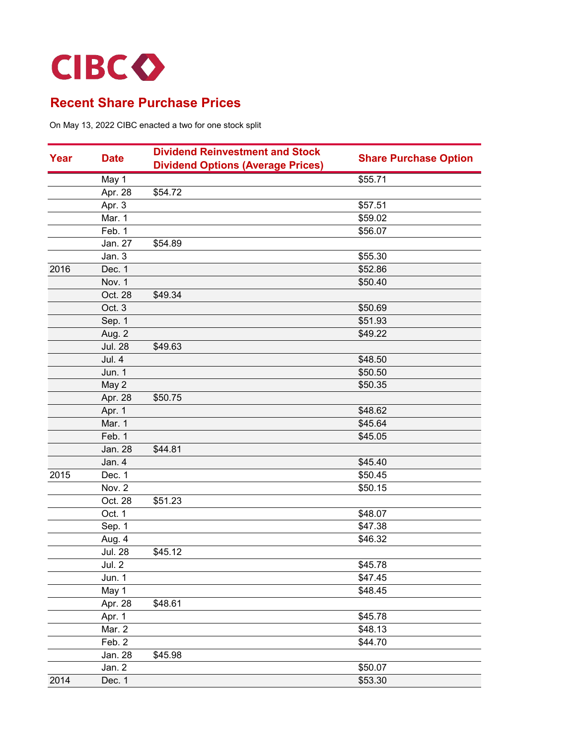

|      |                | <b>Dividend Reinvestment and Stock</b>   |                              |
|------|----------------|------------------------------------------|------------------------------|
| Year | <b>Date</b>    | <b>Dividend Options (Average Prices)</b> | <b>Share Purchase Option</b> |
|      | May 1          |                                          | \$55.71                      |
|      | Apr. 28        | \$54.72                                  |                              |
|      | Apr. 3         |                                          | \$57.51                      |
|      | Mar. 1         |                                          | \$59.02                      |
|      | Feb. 1         |                                          | \$56.07                      |
|      | Jan. 27        | \$54.89                                  |                              |
|      | Jan. 3         |                                          | \$55.30                      |
| 2016 | Dec. 1         |                                          | \$52.86                      |
|      | Nov. 1         |                                          | \$50.40                      |
|      | Oct. 28        | \$49.34                                  |                              |
|      | Oct. 3         |                                          | \$50.69                      |
|      | Sep. 1         |                                          | \$51.93                      |
|      | Aug. 2         |                                          | \$49.22                      |
|      | <b>Jul. 28</b> | \$49.63                                  |                              |
|      | Jul. 4         |                                          | \$48.50                      |
|      | Jun. 1         |                                          | \$50.50                      |
|      | May 2          |                                          | \$50.35                      |
|      | Apr. 28        | \$50.75                                  |                              |
|      | Apr. 1         |                                          | \$48.62                      |
|      | Mar. 1         |                                          | \$45.64                      |
|      | Feb. 1         |                                          | \$45.05                      |
|      | Jan. 28        | \$44.81                                  |                              |
|      | Jan. 4         |                                          | \$45.40                      |
| 2015 | Dec. 1         |                                          | \$50.45                      |
|      | Nov. 2         |                                          | \$50.15                      |
|      | Oct. 28        | \$51.23                                  |                              |
|      | Oct. 1         |                                          | \$48.07                      |
|      | Sep. 1         |                                          | \$47.38                      |
|      | Aug. 4         |                                          | \$46.32                      |
|      | <b>Jul. 28</b> | \$45.12                                  |                              |
|      | <b>Jul. 2</b>  |                                          | \$45.78                      |
|      | Jun. 1         |                                          | \$47.45                      |
|      | May 1          |                                          | \$48.45                      |
|      | Apr. 28        | \$48.61                                  |                              |
|      | Apr. 1         |                                          | \$45.78                      |
|      | Mar. 2         |                                          | \$48.13                      |
|      | Feb. 2         |                                          | \$44.70                      |
|      | Jan. 28        | \$45.98                                  |                              |
|      | Jan. 2         |                                          | \$50.07                      |
| 2014 | Dec. 1         |                                          | \$53.30                      |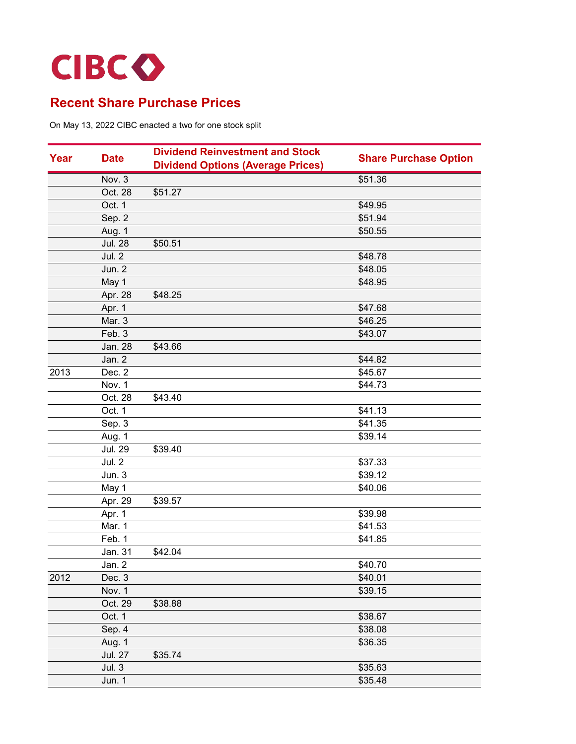

| Year | <b>Date</b>    | <b>Dividend Reinvestment and Stock</b>   |                              |
|------|----------------|------------------------------------------|------------------------------|
|      |                | <b>Dividend Options (Average Prices)</b> | <b>Share Purchase Option</b> |
|      | Nov. 3         |                                          | \$51.36                      |
|      | Oct. 28        | \$51.27                                  |                              |
|      | Oct. 1         |                                          | \$49.95                      |
|      | Sep. 2         |                                          | \$51.94                      |
|      | Aug. 1         |                                          | \$50.55                      |
|      | <b>Jul. 28</b> | \$50.51                                  |                              |
|      | Jul. 2         |                                          | \$48.78                      |
|      | Jun. 2         |                                          | \$48.05                      |
|      | May 1          |                                          | \$48.95                      |
|      | Apr. 28        | \$48.25                                  |                              |
|      | Apr. 1         |                                          | \$47.68                      |
|      | Mar. 3         |                                          | \$46.25                      |
|      | Feb. 3         |                                          | \$43.07                      |
|      | Jan. 28        | \$43.66                                  |                              |
|      | Jan. 2         |                                          | \$44.82                      |
| 2013 | Dec. 2         |                                          | \$45.67                      |
|      | Nov. 1         |                                          | \$44.73                      |
|      | Oct. 28        | \$43.40                                  |                              |
|      | Oct. 1         |                                          | \$41.13                      |
|      | Sep. 3         |                                          | \$41.35                      |
|      | Aug. 1         |                                          | \$39.14                      |
|      | <b>Jul. 29</b> | \$39.40                                  |                              |
|      | <b>Jul. 2</b>  |                                          | \$37.33                      |
|      | Jun. 3         |                                          | \$39.12                      |
|      | May 1          |                                          | \$40.06                      |
|      | Apr. 29        | \$39.57                                  |                              |
|      | Apr. 1         |                                          | \$39.98                      |
|      | Mar. 1         |                                          | \$41.53                      |
|      | Feb. 1         |                                          | \$41.85                      |
|      | Jan. 31        | \$42.04                                  |                              |
|      | Jan. 2         |                                          | \$40.70                      |
| 2012 | Dec. 3         |                                          | \$40.01                      |
|      | Nov. 1         |                                          | \$39.15                      |
|      | Oct. 29        | \$38.88                                  |                              |
|      | Oct. 1         |                                          | \$38.67                      |
|      | Sep. 4         |                                          | \$38.08                      |
|      | Aug. 1         |                                          | \$36.35                      |
|      | <b>Jul. 27</b> | \$35.74                                  |                              |
|      | Jul.3          |                                          | \$35.63                      |
|      | Jun. 1         |                                          | \$35.48                      |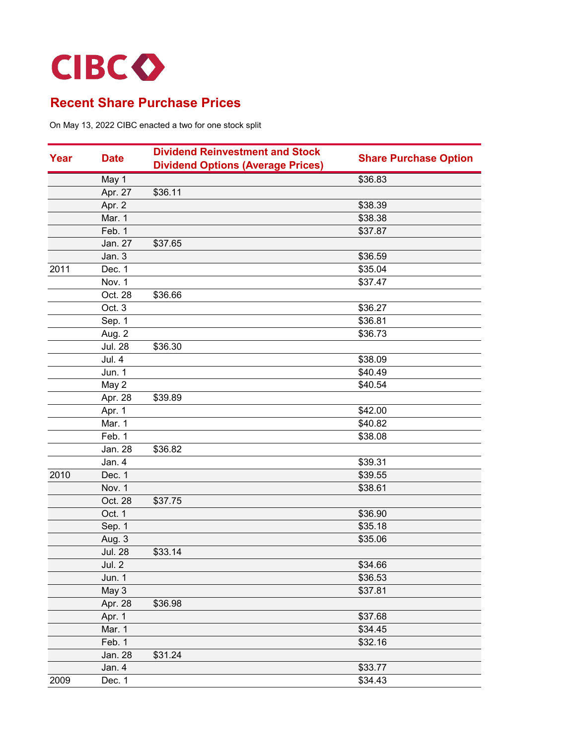

| Year | <b>Date</b>    | <b>Dividend Reinvestment and Stock</b>   | <b>Share Purchase Option</b> |
|------|----------------|------------------------------------------|------------------------------|
|      |                | <b>Dividend Options (Average Prices)</b> |                              |
|      | May 1          |                                          | \$36.83                      |
|      | Apr. 27        | \$36.11                                  |                              |
|      | Apr. 2         |                                          | \$38.39                      |
|      | Mar. 1         |                                          | \$38.38                      |
|      | Feb. 1         |                                          | \$37.87                      |
|      | Jan. 27        | \$37.65                                  |                              |
|      | Jan. 3         |                                          | \$36.59                      |
| 2011 | Dec. 1         |                                          | \$35.04                      |
|      | Nov. 1         |                                          | \$37.47                      |
|      | Oct. 28        | \$36.66                                  |                              |
|      | Oct. 3         |                                          | \$36.27                      |
|      | Sep. 1         |                                          | \$36.81                      |
|      | Aug. 2         |                                          | \$36.73                      |
|      | <b>Jul. 28</b> | \$36.30                                  |                              |
|      | Jul. 4         |                                          | \$38.09                      |
|      | Jun. 1         |                                          | \$40.49                      |
|      | May 2          |                                          | \$40.54                      |
|      | Apr. 28        | \$39.89                                  |                              |
|      | Apr. 1         |                                          | \$42.00                      |
|      | Mar. 1         |                                          | \$40.82                      |
|      | Feb. 1         |                                          | \$38.08                      |
|      | Jan. 28        | \$36.82                                  |                              |
|      | Jan. 4         |                                          | \$39.31                      |
| 2010 | Dec. 1         |                                          | \$39.55                      |
|      | Nov. 1         |                                          | \$38.61                      |
|      | Oct. 28        | \$37.75                                  |                              |
|      | Oct. 1         |                                          | \$36.90                      |
|      | Sep. 1         |                                          | \$35.18                      |
|      | Aug. 3         |                                          | \$35.06                      |
|      | <b>Jul. 28</b> | \$33.14                                  |                              |
|      | Jul. 2         |                                          | \$34.66                      |
|      | Jun. 1         |                                          | \$36.53                      |
|      | May 3          |                                          | \$37.81                      |
|      | Apr. 28        | \$36.98                                  |                              |
|      | Apr. 1         |                                          | \$37.68                      |
|      | Mar. 1         |                                          | \$34.45                      |
|      | Feb. 1         |                                          | \$32.16                      |
|      | Jan. 28        | \$31.24                                  |                              |
|      | Jan. 4         |                                          | \$33.77                      |
| 2009 | Dec. 1         |                                          | \$34.43                      |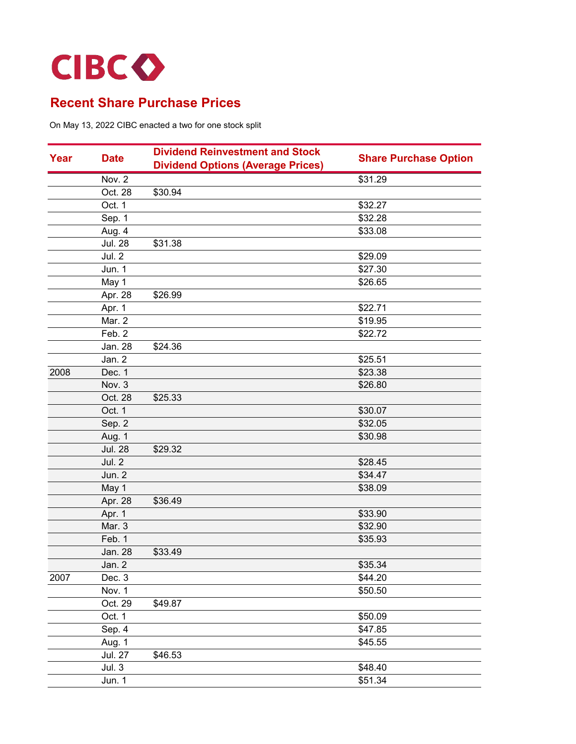

|      |                | <b>Dividend Reinvestment and Stock</b>   |                              |
|------|----------------|------------------------------------------|------------------------------|
| Year | <b>Date</b>    | <b>Dividend Options (Average Prices)</b> | <b>Share Purchase Option</b> |
|      | Nov. 2         |                                          | \$31.29                      |
|      | Oct. 28        | \$30.94                                  |                              |
|      | Oct. 1         |                                          | \$32.27                      |
|      | Sep. 1         |                                          | \$32.28                      |
|      | Aug. 4         |                                          | \$33.08                      |
|      | <b>Jul. 28</b> | \$31.38                                  |                              |
|      | Jul. 2         |                                          | \$29.09                      |
|      | Jun. 1         |                                          | \$27.30                      |
|      | May 1          |                                          | \$26.65                      |
|      | Apr. 28        | \$26.99                                  |                              |
|      | Apr. 1         |                                          | \$22.71                      |
|      | Mar. 2         |                                          | \$19.95                      |
|      | Feb. 2         |                                          | \$22.72                      |
|      | Jan. 28        | \$24.36                                  |                              |
|      | Jan. 2         |                                          | \$25.51                      |
| 2008 | Dec. 1         |                                          | \$23.38                      |
|      | Nov. 3         |                                          | \$26.80                      |
|      | Oct. 28        | \$25.33                                  |                              |
|      | Oct. 1         |                                          | \$30.07                      |
|      | Sep. 2         |                                          | \$32.05                      |
|      | Aug. 1         |                                          | \$30.98                      |
|      | <b>Jul. 28</b> | \$29.32                                  |                              |
|      | Jul. 2         |                                          | \$28.45                      |
|      | Jun. 2         |                                          | \$34.47                      |
|      | May 1          |                                          | \$38.09                      |
|      | Apr. 28        | \$36.49                                  |                              |
|      | Apr. 1         |                                          | \$33.90                      |
|      | Mar. 3         |                                          | \$32.90                      |
|      | Feb. 1         |                                          | \$35.93                      |
|      | Jan. 28        | \$33.49                                  |                              |
|      | Jan. 2         |                                          | \$35.34                      |
| 2007 | Dec. 3         |                                          | \$44.20                      |
|      | Nov. 1         |                                          | \$50.50                      |
|      | Oct. 29        | \$49.87                                  |                              |
|      | Oct. 1         |                                          | \$50.09                      |
|      | Sep. 4         |                                          | \$47.85                      |
|      | Aug. 1         |                                          | \$45.55                      |
|      | <b>Jul. 27</b> | \$46.53                                  |                              |
|      | Jul.3          |                                          | \$48.40                      |
|      | Jun. 1         |                                          | \$51.34                      |
|      |                |                                          |                              |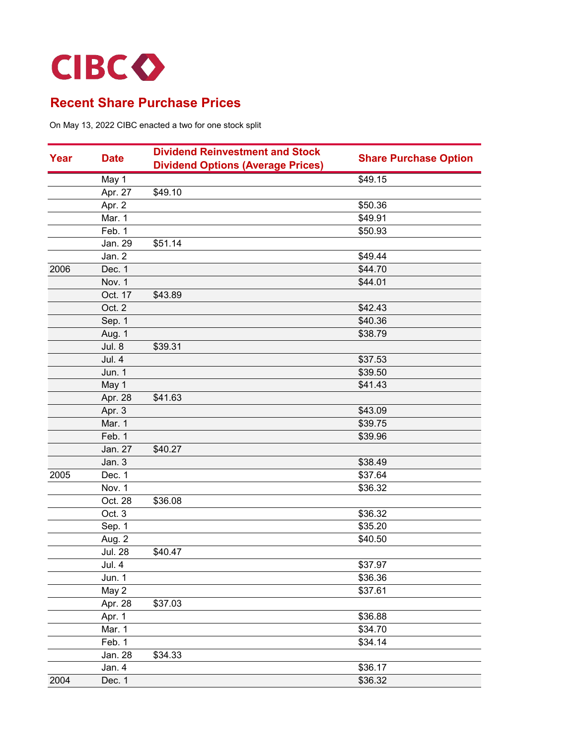

|      |                | <b>Dividend Reinvestment and Stock</b>   |                              |
|------|----------------|------------------------------------------|------------------------------|
| Year | <b>Date</b>    | <b>Dividend Options (Average Prices)</b> | <b>Share Purchase Option</b> |
|      | May 1          |                                          | \$49.15                      |
|      | Apr. 27        | \$49.10                                  |                              |
|      | Apr. 2         |                                          | \$50.36                      |
|      | Mar. 1         |                                          | \$49.91                      |
|      | Feb. 1         |                                          | \$50.93                      |
|      | Jan. 29        | \$51.14                                  |                              |
|      | Jan. 2         |                                          | \$49.44                      |
| 2006 | Dec. 1         |                                          | \$44.70                      |
|      | Nov. 1         |                                          | \$44.01                      |
|      | Oct. 17        | \$43.89                                  |                              |
|      | Oct. 2         |                                          | \$42.43                      |
|      | Sep. 1         |                                          | \$40.36                      |
|      | Aug. 1         |                                          | \$38.79                      |
|      | Jul. 8         | \$39.31                                  |                              |
|      | Jul. 4         |                                          | \$37.53                      |
|      | <b>Jun. 1</b>  |                                          | \$39.50                      |
|      | May 1          |                                          | \$41.43                      |
|      | Apr. 28        | \$41.63                                  |                              |
|      | Apr. 3         |                                          | \$43.09                      |
|      | Mar. 1         |                                          | \$39.75                      |
|      | Feb. 1         |                                          | \$39.96                      |
|      | Jan. 27        | \$40.27                                  |                              |
|      | Jan. 3         |                                          | \$38.49                      |
| 2005 | Dec. 1         |                                          | \$37.64                      |
|      | Nov. 1         |                                          | \$36.32                      |
|      | Oct. 28        | \$36.08                                  |                              |
|      | Oct. 3         |                                          | \$36.32                      |
|      | Sep. 1         |                                          | \$35.20                      |
|      | Aug. 2         |                                          | \$40.50                      |
|      | <b>Jul. 28</b> | \$40.47                                  |                              |
|      | <b>Jul. 4</b>  |                                          | \$37.97                      |
|      | Jun. 1         |                                          | \$36.36                      |
|      | May 2          |                                          | \$37.61                      |
|      | Apr. 28        | \$37.03                                  |                              |
|      | Apr. 1         |                                          | \$36.88                      |
|      | Mar. 1         |                                          | \$34.70                      |
|      | Feb. 1         |                                          | \$34.14                      |
|      | Jan. 28        | \$34.33                                  |                              |
|      | Jan. 4         |                                          | \$36.17                      |
| 2004 | Dec. 1         |                                          | \$36.32                      |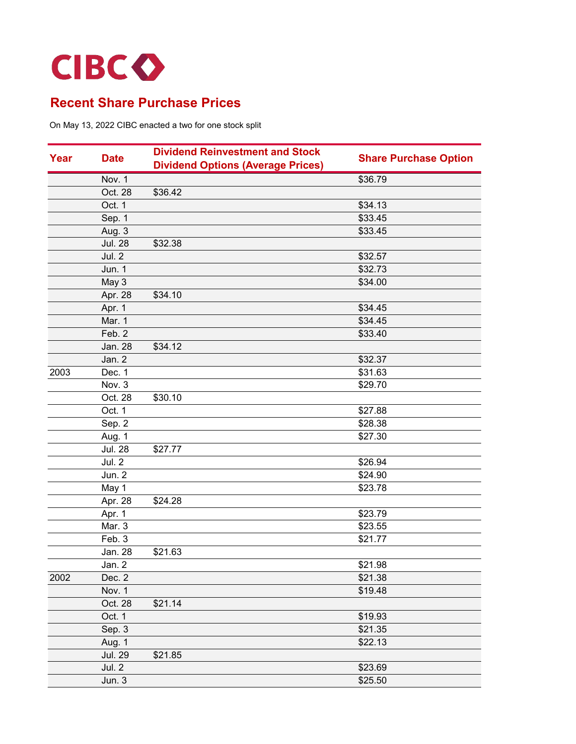

| <b>Dividend Options (Average Prices)</b><br>\$36.79<br>Nov. 1<br>Oct. 28<br>\$36.42<br>Oct. 1<br>\$34.13<br>Sep. 1<br>\$33.45<br>\$33.45<br>Aug. 3<br><b>Jul. 28</b><br>\$32.38<br>Jul. 2<br>\$32.57<br>\$32.73<br>Jun. 1<br>May 3<br>\$34.00<br>Apr. 28<br>\$34.10<br>Apr. 1<br>\$34.45<br>Mar. 1<br>\$34.45<br>Feb. 2<br>\$33.40<br>\$34.12<br>Jan. 28<br>Jan. 2<br>\$32.37<br>2003<br>\$31.63<br>Dec. 1<br>Nov. 3<br>\$29.70<br>Oct. 28<br>\$30.10<br>Oct. 1<br>\$27.88<br>Sep. 2<br>\$28.38<br>Aug. 1<br>\$27.30<br><b>Jul. 28</b><br>\$27.77<br><b>Jul. 2</b><br>\$26.94<br>Jun. 2<br>\$24.90<br>May 1<br>\$23.78<br>Apr. 28<br>\$24.28<br>Apr. 1<br>\$23.79<br>Mar. 3<br>\$23.55<br>Feb. 3<br>\$21.77<br>\$21.63<br>Jan. 28<br>Jan. 2<br>\$21.98<br>2002<br>Dec. 2<br>\$21.38<br>\$19.48<br>Nov. 1<br>\$21.14<br>Oct. 28<br>Oct. 1<br>\$19.93<br>Sep. 3<br>\$21.35<br>Aug. 1<br>\$22.13<br><b>Jul. 29</b><br>\$21.85<br>Jul. 2<br>\$23.69 | Year |        | <b>Dividend Reinvestment and Stock</b><br><b>Date</b> | <b>Share Purchase Option</b> |
|-------------------------------------------------------------------------------------------------------------------------------------------------------------------------------------------------------------------------------------------------------------------------------------------------------------------------------------------------------------------------------------------------------------------------------------------------------------------------------------------------------------------------------------------------------------------------------------------------------------------------------------------------------------------------------------------------------------------------------------------------------------------------------------------------------------------------------------------------------------------------------------------------------------------------------------------------|------|--------|-------------------------------------------------------|------------------------------|
|                                                                                                                                                                                                                                                                                                                                                                                                                                                                                                                                                                                                                                                                                                                                                                                                                                                                                                                                                 |      |        |                                                       |                              |
|                                                                                                                                                                                                                                                                                                                                                                                                                                                                                                                                                                                                                                                                                                                                                                                                                                                                                                                                                 |      |        |                                                       |                              |
|                                                                                                                                                                                                                                                                                                                                                                                                                                                                                                                                                                                                                                                                                                                                                                                                                                                                                                                                                 |      |        |                                                       |                              |
|                                                                                                                                                                                                                                                                                                                                                                                                                                                                                                                                                                                                                                                                                                                                                                                                                                                                                                                                                 |      |        |                                                       |                              |
|                                                                                                                                                                                                                                                                                                                                                                                                                                                                                                                                                                                                                                                                                                                                                                                                                                                                                                                                                 |      |        |                                                       |                              |
|                                                                                                                                                                                                                                                                                                                                                                                                                                                                                                                                                                                                                                                                                                                                                                                                                                                                                                                                                 |      |        |                                                       |                              |
|                                                                                                                                                                                                                                                                                                                                                                                                                                                                                                                                                                                                                                                                                                                                                                                                                                                                                                                                                 |      |        |                                                       |                              |
|                                                                                                                                                                                                                                                                                                                                                                                                                                                                                                                                                                                                                                                                                                                                                                                                                                                                                                                                                 |      |        |                                                       |                              |
|                                                                                                                                                                                                                                                                                                                                                                                                                                                                                                                                                                                                                                                                                                                                                                                                                                                                                                                                                 |      |        |                                                       |                              |
|                                                                                                                                                                                                                                                                                                                                                                                                                                                                                                                                                                                                                                                                                                                                                                                                                                                                                                                                                 |      |        |                                                       |                              |
|                                                                                                                                                                                                                                                                                                                                                                                                                                                                                                                                                                                                                                                                                                                                                                                                                                                                                                                                                 |      |        |                                                       |                              |
|                                                                                                                                                                                                                                                                                                                                                                                                                                                                                                                                                                                                                                                                                                                                                                                                                                                                                                                                                 |      |        |                                                       |                              |
|                                                                                                                                                                                                                                                                                                                                                                                                                                                                                                                                                                                                                                                                                                                                                                                                                                                                                                                                                 |      |        |                                                       |                              |
|                                                                                                                                                                                                                                                                                                                                                                                                                                                                                                                                                                                                                                                                                                                                                                                                                                                                                                                                                 |      |        |                                                       |                              |
|                                                                                                                                                                                                                                                                                                                                                                                                                                                                                                                                                                                                                                                                                                                                                                                                                                                                                                                                                 |      |        |                                                       |                              |
|                                                                                                                                                                                                                                                                                                                                                                                                                                                                                                                                                                                                                                                                                                                                                                                                                                                                                                                                                 |      |        |                                                       |                              |
|                                                                                                                                                                                                                                                                                                                                                                                                                                                                                                                                                                                                                                                                                                                                                                                                                                                                                                                                                 |      |        |                                                       |                              |
|                                                                                                                                                                                                                                                                                                                                                                                                                                                                                                                                                                                                                                                                                                                                                                                                                                                                                                                                                 |      |        |                                                       |                              |
|                                                                                                                                                                                                                                                                                                                                                                                                                                                                                                                                                                                                                                                                                                                                                                                                                                                                                                                                                 |      |        |                                                       |                              |
|                                                                                                                                                                                                                                                                                                                                                                                                                                                                                                                                                                                                                                                                                                                                                                                                                                                                                                                                                 |      |        |                                                       |                              |
|                                                                                                                                                                                                                                                                                                                                                                                                                                                                                                                                                                                                                                                                                                                                                                                                                                                                                                                                                 |      |        |                                                       |                              |
|                                                                                                                                                                                                                                                                                                                                                                                                                                                                                                                                                                                                                                                                                                                                                                                                                                                                                                                                                 |      |        |                                                       |                              |
|                                                                                                                                                                                                                                                                                                                                                                                                                                                                                                                                                                                                                                                                                                                                                                                                                                                                                                                                                 |      |        |                                                       |                              |
|                                                                                                                                                                                                                                                                                                                                                                                                                                                                                                                                                                                                                                                                                                                                                                                                                                                                                                                                                 |      |        |                                                       |                              |
|                                                                                                                                                                                                                                                                                                                                                                                                                                                                                                                                                                                                                                                                                                                                                                                                                                                                                                                                                 |      |        |                                                       |                              |
|                                                                                                                                                                                                                                                                                                                                                                                                                                                                                                                                                                                                                                                                                                                                                                                                                                                                                                                                                 |      |        |                                                       |                              |
|                                                                                                                                                                                                                                                                                                                                                                                                                                                                                                                                                                                                                                                                                                                                                                                                                                                                                                                                                 |      |        |                                                       |                              |
|                                                                                                                                                                                                                                                                                                                                                                                                                                                                                                                                                                                                                                                                                                                                                                                                                                                                                                                                                 |      |        |                                                       |                              |
|                                                                                                                                                                                                                                                                                                                                                                                                                                                                                                                                                                                                                                                                                                                                                                                                                                                                                                                                                 |      |        |                                                       |                              |
|                                                                                                                                                                                                                                                                                                                                                                                                                                                                                                                                                                                                                                                                                                                                                                                                                                                                                                                                                 |      |        |                                                       |                              |
|                                                                                                                                                                                                                                                                                                                                                                                                                                                                                                                                                                                                                                                                                                                                                                                                                                                                                                                                                 |      |        |                                                       |                              |
|                                                                                                                                                                                                                                                                                                                                                                                                                                                                                                                                                                                                                                                                                                                                                                                                                                                                                                                                                 |      |        |                                                       |                              |
|                                                                                                                                                                                                                                                                                                                                                                                                                                                                                                                                                                                                                                                                                                                                                                                                                                                                                                                                                 |      |        |                                                       |                              |
|                                                                                                                                                                                                                                                                                                                                                                                                                                                                                                                                                                                                                                                                                                                                                                                                                                                                                                                                                 |      |        |                                                       |                              |
|                                                                                                                                                                                                                                                                                                                                                                                                                                                                                                                                                                                                                                                                                                                                                                                                                                                                                                                                                 |      |        |                                                       |                              |
|                                                                                                                                                                                                                                                                                                                                                                                                                                                                                                                                                                                                                                                                                                                                                                                                                                                                                                                                                 |      |        |                                                       |                              |
|                                                                                                                                                                                                                                                                                                                                                                                                                                                                                                                                                                                                                                                                                                                                                                                                                                                                                                                                                 |      |        |                                                       |                              |
|                                                                                                                                                                                                                                                                                                                                                                                                                                                                                                                                                                                                                                                                                                                                                                                                                                                                                                                                                 |      |        |                                                       |                              |
|                                                                                                                                                                                                                                                                                                                                                                                                                                                                                                                                                                                                                                                                                                                                                                                                                                                                                                                                                 |      |        |                                                       |                              |
|                                                                                                                                                                                                                                                                                                                                                                                                                                                                                                                                                                                                                                                                                                                                                                                                                                                                                                                                                 |      |        |                                                       |                              |
|                                                                                                                                                                                                                                                                                                                                                                                                                                                                                                                                                                                                                                                                                                                                                                                                                                                                                                                                                 |      | Jun. 3 |                                                       | \$25.50                      |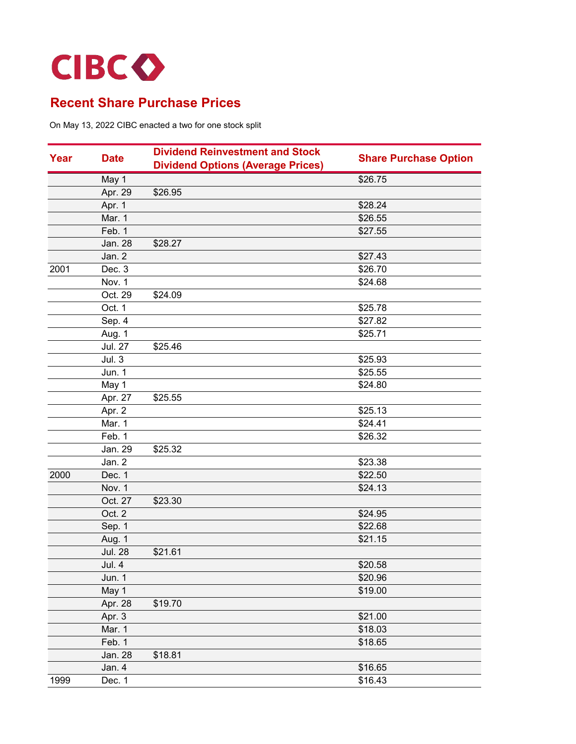

| Year | <b>Date</b>    | <b>Dividend Reinvestment and Stock</b>   | <b>Share Purchase Option</b> |
|------|----------------|------------------------------------------|------------------------------|
|      |                | <b>Dividend Options (Average Prices)</b> |                              |
|      | May 1          |                                          | \$26.75                      |
|      | Apr. 29        | \$26.95                                  |                              |
|      | Apr. 1         |                                          | \$28.24                      |
|      | Mar. 1         |                                          | \$26.55                      |
|      | Feb. 1         |                                          | \$27.55                      |
|      | Jan. 28        | \$28.27                                  |                              |
|      | Jan. 2         |                                          | \$27.43                      |
| 2001 | Dec. 3         |                                          | \$26.70                      |
|      | Nov. 1         |                                          | \$24.68                      |
|      | Oct. 29        | \$24.09                                  |                              |
|      | Oct. 1         |                                          | \$25.78                      |
|      | Sep. 4         |                                          | \$27.82                      |
|      | Aug. 1         |                                          | \$25.71                      |
|      | <b>Jul. 27</b> | \$25.46                                  |                              |
|      | Jul.3          |                                          | \$25.93                      |
|      | Jun. 1         |                                          | \$25.55                      |
|      | May 1          |                                          | \$24.80                      |
|      | Apr. 27        | \$25.55                                  |                              |
|      | Apr. 2         |                                          | \$25.13                      |
|      | Mar. 1         |                                          | \$24.41                      |
|      | Feb. 1         |                                          | \$26.32                      |
|      | Jan. 29        | \$25.32                                  |                              |
|      | Jan. 2         |                                          | \$23.38                      |
| 2000 | Dec. 1         |                                          | \$22.50                      |
|      | Nov. 1         |                                          | \$24.13                      |
|      | Oct. 27        | \$23.30                                  |                              |
|      | Oct. 2         |                                          | \$24.95                      |
|      | Sep. 1         |                                          | \$22.68                      |
|      | Aug. 1         |                                          | \$21.15                      |
|      | <b>Jul. 28</b> | \$21.61                                  |                              |
|      | Jul. 4         |                                          | \$20.58                      |
|      | Jun. 1         |                                          | \$20.96                      |
|      | May 1          |                                          | \$19.00                      |
|      | Apr. 28        | \$19.70                                  |                              |
|      | Apr. 3         |                                          | \$21.00                      |
|      | Mar. 1         |                                          | \$18.03                      |
|      | Feb. 1         |                                          | \$18.65                      |
|      | Jan. 28        | \$18.81                                  |                              |
|      | Jan. 4         |                                          | \$16.65                      |
| 1999 | Dec. 1         |                                          | \$16.43                      |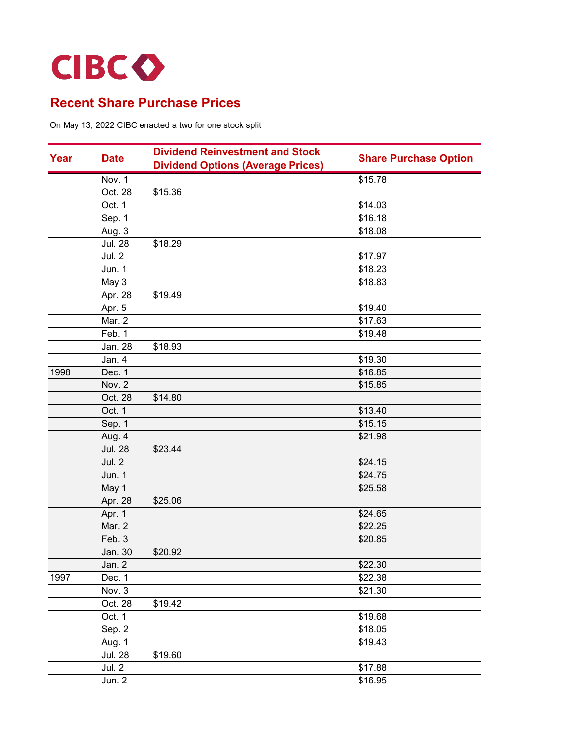

|      | <b>Dividend Reinvestment and Stock</b> |                                          |                              |
|------|----------------------------------------|------------------------------------------|------------------------------|
| Year | <b>Date</b>                            | <b>Dividend Options (Average Prices)</b> | <b>Share Purchase Option</b> |
|      | Nov. 1                                 |                                          | \$15.78                      |
|      | Oct. 28                                | \$15.36                                  |                              |
|      | Oct. 1                                 |                                          | \$14.03                      |
|      | Sep. 1                                 |                                          | \$16.18                      |
|      | Aug. 3                                 |                                          | \$18.08                      |
|      | <b>Jul. 28</b>                         | \$18.29                                  |                              |
|      | Jul. 2                                 |                                          | \$17.97                      |
|      | Jun. 1                                 |                                          | \$18.23                      |
|      | May 3                                  |                                          | \$18.83                      |
|      | Apr. 28                                | \$19.49                                  |                              |
|      | Apr. 5                                 |                                          | \$19.40                      |
|      | Mar. 2                                 |                                          | \$17.63                      |
|      | Feb. 1                                 |                                          | \$19.48                      |
|      | Jan. 28                                | \$18.93                                  |                              |
|      | Jan. 4                                 |                                          | \$19.30                      |
| 1998 | Dec. 1                                 |                                          | \$16.85                      |
|      | Nov. 2                                 |                                          | \$15.85                      |
|      | Oct. 28                                | \$14.80                                  |                              |
|      | Oct. 1                                 |                                          | \$13.40                      |
|      | Sep. 1                                 |                                          | \$15.15                      |
|      | Aug. 4                                 |                                          | \$21.98                      |
|      | <b>Jul. 28</b>                         | \$23.44                                  |                              |
|      | Jul. 2                                 |                                          | \$24.15                      |
|      | Jun. 1                                 |                                          | \$24.75                      |
|      | May 1                                  |                                          | \$25.58                      |
|      | Apr. 28                                | \$25.06                                  |                              |
|      | Apr. 1                                 |                                          | \$24.65                      |
|      | Mar. 2                                 |                                          | \$22.25                      |
|      | Feb. 3                                 |                                          | \$20.85                      |
|      | Jan. 30                                | \$20.92                                  |                              |
|      | Jan. 2                                 |                                          | \$22.30                      |
| 1997 | Dec. 1                                 |                                          | \$22.38                      |
|      | Nov. 3                                 |                                          | \$21.30                      |
|      | Oct. 28                                | \$19.42                                  |                              |
|      | Oct. 1                                 |                                          | \$19.68                      |
|      | Sep. 2                                 |                                          | \$18.05                      |
|      | Aug. 1                                 |                                          | \$19.43                      |
|      | <b>Jul. 28</b>                         | \$19.60                                  |                              |
|      | Jul. 2                                 |                                          | \$17.88                      |
|      | Jun. 2                                 |                                          | \$16.95                      |